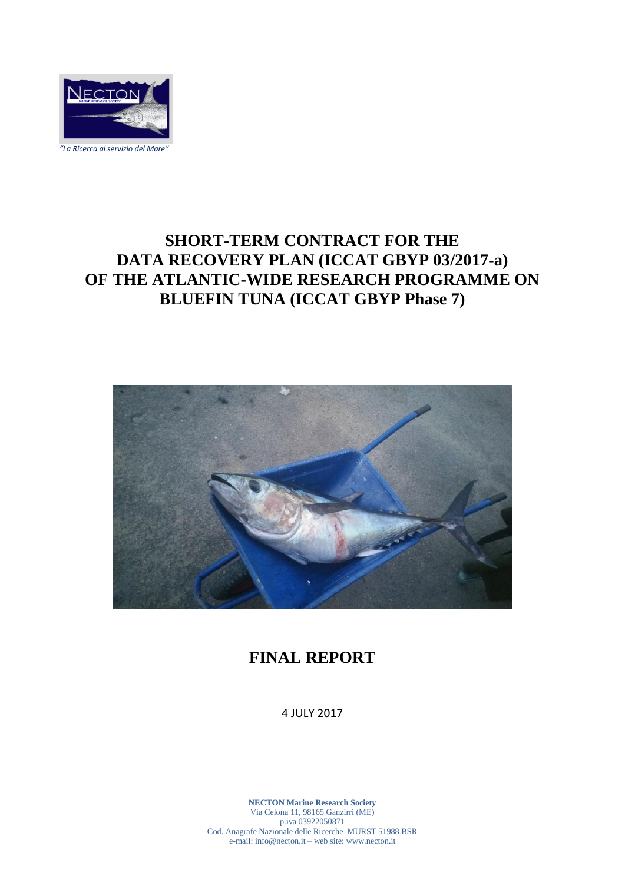

**SHORT-TERM CONTRACT FOR THE DATA RECOVERY PLAN (ICCAT GBYP 03/2017-a) OF THE ATLANTIC-WIDE RESEARCH PROGRAMME ON BLUEFIN TUNA (ICCAT GBYP Phase 7)**



## **FINAL REPORT**

4 JULY 2017

**NECTON Marine Research Society** Via Celona 11, 98165 Ganzirri (ME) p.iva 03922050871 Cod. Anagrafe Nazionale delle Ricerche MURST 51988 BSR e-mail: info@necton.it – web site: www.necton.it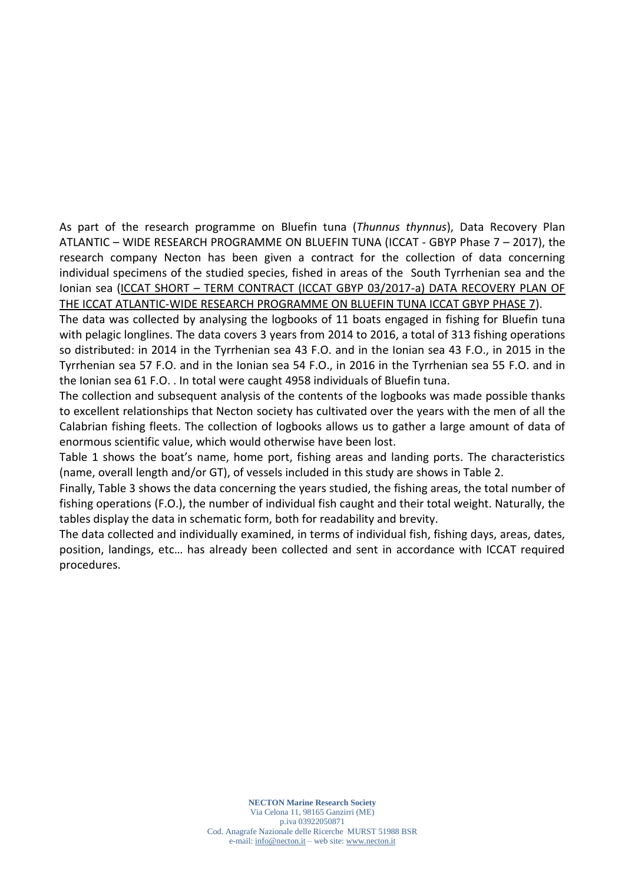As part of the research programme on Bluefin tuna (*Thunnus thynnus*), Data Recovery Plan ATLANTIC – WIDE RESEARCH PROGRAMME ON BLUEFIN TUNA (ICCAT - GBYP Phase 7 – 2017), the research company Necton has been given a contract for the collection of data concerning individual specimens of the studied species, fished in areas of the South Tyrrhenian sea and the Ionian sea (ICCAT SHORT – TERM CONTRACT (ICCAT GBYP 03/2017-a) DATA RECOVERY PLAN OF THE ICCAT ATLANTIC-WIDE RESEARCH PROGRAMME ON BLUEFIN TUNA ICCAT GBYP PHASE 7).

The data was collected by analysing the logbooks of 11 boats engaged in fishing for Bluefin tuna with pelagic longlines. The data covers 3 years from 2014 to 2016, a total of 313 fishing operations so distributed: in 2014 in the Tyrrhenian sea 43 F.O. and in the Ionian sea 43 F.O., in 2015 in the Tyrrhenian sea 57 F.O. and in the Ionian sea 54 F.O., in 2016 in the Tyrrhenian sea 55 F.O. and in the Ionian sea 61 F.O. . In total were caught 4958 individuals of Bluefin tuna.

The collection and subsequent analysis of the contents of the logbooks was made possible thanks to excellent relationships that Necton society has cultivated over the years with the men of all the Calabrian fishing fleets. The collection of logbooks allows us to gather a large amount of data of enormous scientific value, which would otherwise have been lost.

Table 1 shows the boat's name, home port, fishing areas and landing ports. The characteristics (name, overall length and/or GT), of vessels included in this study are shows in Table 2.

Finally, Table 3 shows the data concerning the years studied, the fishing areas, the total number of fishing operations (F.O.), the number of individual fish caught and their total weight. Naturally, the tables display the data in schematic form, both for readability and brevity.

The data collected and individually examined, in terms of individual fish, fishing days, areas, dates, position, landings, etc… has already been collected and sent in accordance with ICCAT required procedures.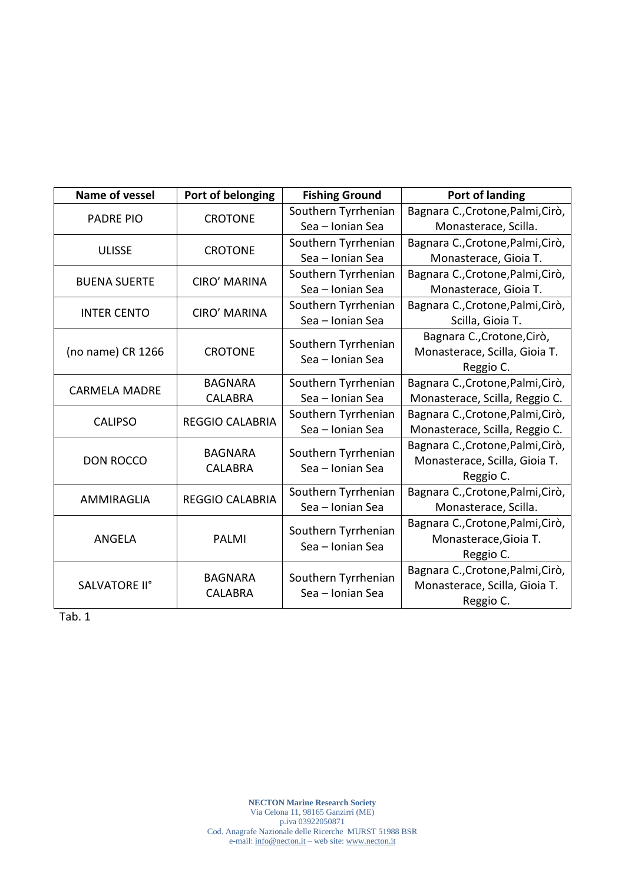| Name of vessel       | Port of belonging                | <b>Fishing Ground</b>                   | Port of landing                   |
|----------------------|----------------------------------|-----------------------------------------|-----------------------------------|
| <b>PADRE PIO</b>     | <b>CROTONE</b>                   | Southern Tyrrhenian                     | Bagnara C., Crotone, Palmi, Cirò, |
|                      |                                  | Sea - Ionian Sea                        | Monasterace, Scilla.              |
| <b>ULISSE</b>        | <b>CROTONE</b>                   | Southern Tyrrhenian                     | Bagnara C., Crotone, Palmi, Cirò, |
|                      |                                  | Sea - Ionian Sea                        | Monasterace, Gioia T.             |
| <b>BUENA SUERTE</b>  | <b>CIRO' MARINA</b>              | Southern Tyrrhenian                     | Bagnara C., Crotone, Palmi, Cirò, |
|                      |                                  | Sea - Ionian Sea                        | Monasterace, Gioia T.             |
| <b>INTER CENTO</b>   | <b>CIRO' MARINA</b>              | Southern Tyrrhenian                     | Bagnara C., Crotone, Palmi, Cirò, |
|                      |                                  | Sea - Ionian Sea                        | Scilla, Gioia T.                  |
| (no name) CR 1266    | <b>CROTONE</b>                   | Southern Tyrrhenian                     | Bagnara C., Crotone, Cirò,        |
|                      |                                  | Sea - Ionian Sea                        | Monasterace, Scilla, Gioia T.     |
|                      |                                  |                                         | Reggio C.                         |
| <b>CARMELA MADRE</b> | <b>BAGNARA</b>                   | Southern Tyrrhenian                     | Bagnara C., Crotone, Palmi, Cirò, |
|                      | <b>CALABRA</b>                   | Sea - Ionian Sea                        | Monasterace, Scilla, Reggio C.    |
| <b>CALIPSO</b>       | <b>REGGIO CALABRIA</b>           | Southern Tyrrhenian                     | Bagnara C., Crotone, Palmi, Cirò, |
|                      |                                  | Sea - Ionian Sea                        | Monasterace, Scilla, Reggio C.    |
| <b>DON ROCCO</b>     | <b>BAGNARA</b><br><b>CALABRA</b> | Southern Tyrrhenian<br>Sea - Ionian Sea | Bagnara C., Crotone, Palmi, Cirò, |
|                      |                                  |                                         | Monasterace, Scilla, Gioia T.     |
|                      |                                  |                                         | Reggio C.                         |
| AMMIRAGLIA           | <b>REGGIO CALABRIA</b>           | Southern Tyrrhenian                     | Bagnara C., Crotone, Palmi, Cirò, |
|                      |                                  | Sea - Ionian Sea                        | Monasterace, Scilla.              |
| <b>ANGELA</b>        | PALMI                            | Southern Tyrrhenian<br>Sea - Ionian Sea | Bagnara C., Crotone, Palmi, Cirò, |
|                      |                                  |                                         | Monasterace, Gioia T.             |
|                      |                                  |                                         | Reggio C.                         |
| SALVATORE II°        | <b>BAGNARA</b><br><b>CALABRA</b> | Southern Tyrrhenian<br>Sea - Ionian Sea | Bagnara C., Crotone, Palmi, Cirò, |
|                      |                                  |                                         | Monasterace, Scilla, Gioia T.     |
|                      |                                  |                                         | Reggio C.                         |

Tab. 1